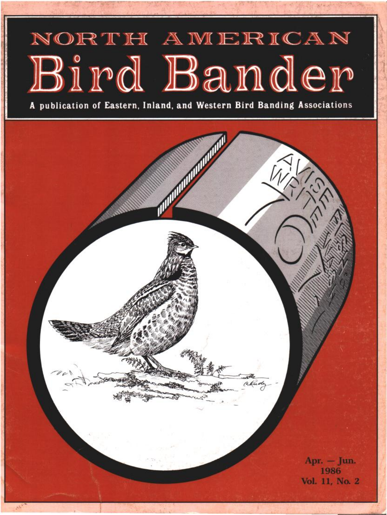# NORTH AMERICAN Bird Bander

**A publication of Eastern, Inland, and Western Bird Banding Associations** 

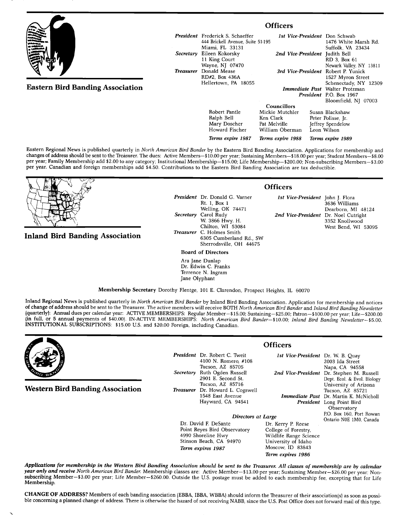|                                         |                  | <b>Officers</b>                                                                                 |                                                                         |  |                                                                            |
|-----------------------------------------|------------------|-------------------------------------------------------------------------------------------------|-------------------------------------------------------------------------|--|----------------------------------------------------------------------------|
|                                         |                  | <b>President</b> Frederick S. Schaeffer<br>444 Brickell Avenue, Suite 51-195<br>Miami, FL 33131 |                                                                         |  | 1st Vice-President Don Schwab<br>1476 White Marsh Rd.<br>Suffolk, VA 23434 |
|                                         | Secretary        | Eileen Kokorsky<br>11 King Court<br>Wayne, NJ 07470                                             | 2nd Vice-President Judith Bell                                          |  | RD 3. Box 61<br>Newark Valley, NY 13811                                    |
|                                         | <b>Treasurer</b> | Donald Mease<br>RD#2. Box 436A<br>Hellertown, PA 18055                                          |                                                                         |  | 3rd Vice-President Robert P. Yunick<br>1527 Myron Street                   |
| <b>Eastern Bird Banding Association</b> |                  |                                                                                                 | <b>Immediate Past</b> Walter Protzman<br><b>President</b> P.O. Box 1967 |  | Schenectady, NY 12309<br>Bloomfield, NJ 07003                              |
|                                         |                  |                                                                                                 | Councillors                                                             |  |                                                                            |
|                                         |                  | Robert Pantle<br>Ralph Bell<br>Mary Doscher                                                     | Mickie Mutchler<br>Ken Clark<br>Pat Melville                            |  | Susan Blackshaw<br>Peter Polisse, Jr.<br><b>Jeffrey Spendelow</b>          |

**Eastern Regional News is published quarterly in North American Bird Bander by the Eastern Bird Banding Association. Applications for membership and**  changes of address should be sent to the Treasurer. The dues: Active Members-\$10.00 per year; Sustaining Members-\$18.00 per year; Student Members-\$8.00 **per year; Family Membership add \$2.00 to any category; Institutional Membership--\$15.00; Life Membership--S200.00; Non-subscribing Members--S3.00 per year. Canadian and foreign memberships add \$4.50. Contributions to the Eastern Bird Banding Association are tax deductible.** 

**Mary Doscher Howard Fischer Terms expire 1987** 



## **Inland Bird Banding Association**

| <b>President</b> Dr. Donald G. Varner<br>Rt. 1, Box 1 |
|-------------------------------------------------------|
|                                                       |
| Welling, OK 74471                                     |
| Secretary Carol Rudy                                  |
| W. 3866 Hwy. H.                                       |
| Chilton, WI 53084                                     |
| <b>Treasurer</b> C. Holmes Smith                      |
| 6305 Cumberland Rd., SW                               |
| Sherrodsville, OH 44675                               |

**Board of Directors** 

**Ara Jane Dunlap Dr. Edwin C. Franks Terrence N. Ingram Jane Olyphant** 

### **Officers**

**William Oberman Terms expire 1988** 

> **1st Vice-President John J. Flora 3636 Williams Dearborn, MI 48124 2nd Vice-President Dr. Noel Cutright 3352 Knollwood West Bend, WI 53095**

**Jeffrey Spendelow Leon Wilson Terms expire 1989** 

**Membership Secretary Dorothy Flentge, 101 E. Clarendon, Prospect Heights, IL 60070** 

Inland Regional News is published quarterly in North American Bird Bander by Inland Bird Banding Association. Application for membership and notices **of change of address should be sent to the Treasurer. The active members will receive BOTH North American Bird Bander and Inland Bird Banding Newsletter {quarterly}: Annual dues per calendar year: ACTIVE MEMBERSHIPS: Regular Member--\$15.00; Sustaining--S25.00; Patron--\$100.00 peryear; Life--S200.00**  (in full, or 5 annual payments of \$40.00). IN-ACTIVE MEMBERSHIPS: North American Bird Bander-\$10.00; Inland Bird Banding Newsletter-\$5.00. **INSTITUTIONAL SUBSCRIPTIONS: \$15.00 U.S. and \$20.00 Foreign, including Canadian.** 



**Western Bird Banding Association** 

President Dr. Robert C. Tv 4100 N. Romero **Tucson, AZ 85705**  Secretary Ruth Ogden Rus 2901 E. Second **Tucson, AZ 85716**  Treasurer Dr. Howard L. O 1548 East Avenu Hayward, CA 9

# **Officers**

|                      | e <b>sident</b> Dr. Robert C. Tweit<br>4100 N. Romero, #108            | 1st Vice-President Dr. W. B. Quay | 2003 Ida Street                                                                            |
|----------------------|------------------------------------------------------------------------|-----------------------------------|--------------------------------------------------------------------------------------------|
|                      | Tucson, AZ 85705<br>cretary Ruth Ogden Russell<br>2901 E. Second St.   |                                   | Napa, CA 94558<br>2nd Vice-President Dr. Stephen M. Russell<br>Dept. Ecol. & Evol. Biology |
|                      | Tucson, AZ 85716<br>easurer Dr. Howard L. Cogswell<br>1548 East Avenue |                                   | University of Arizona<br>Tucson, AZ 85721<br><b>Immediate Past</b> Dr. Martin K. McNicholl |
|                      | Hayward, CA 94541                                                      |                                   | <b>President</b> Long Point Bird<br>Observatory<br>P.O. Box 160, Port Rowan                |
|                      | Directors at Large                                                     | Ontario N0E 1M0, Canada           |                                                                                            |
| Dr. David F. DeSante |                                                                        | Dr. Kerry P. Reese                |                                                                                            |
|                      | Point Reyes Bird Observatory                                           | College of Forestry.              |                                                                                            |

**College of Forestry, Wildlife Range Science University of Idaho Moscow, ID 83843 Term expires 1986** 

Applications for membership in the Western Bird Banding Association should be sent to the Treasurer. All classes of membership are by calendar **year only and receive North American Bird Bander. Membership classes are: Active Member--\$13.00 peryear; Sustaining Member--S26.00 per year; Non**subscribing Member-\$3.00 per year; Life Member-\$260.00. Outside the U.S. postage must be added to each membership fee, excepting that for Life **Membership.** 

**4990 Shoreline Hwy Stinson Beach, CA 94970 Term expires 1987** 

CHANGE OF ADDRESS? Members of each banding association (EBBA, IBBA, WBBA) should inform the Treasurer of their association(s) as soon as possible concerning a planned change of address. There is otherwise the hazard of not receiving NABB, since the U.S. Post Office does not forward mail of this type.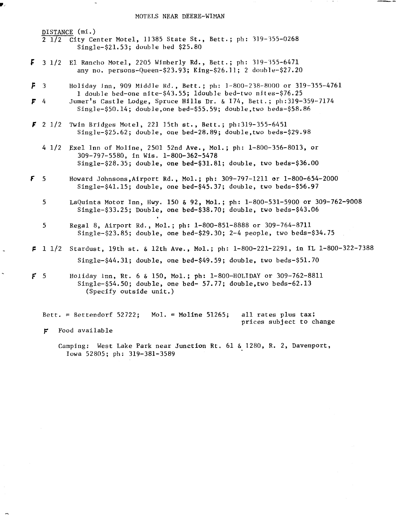**DISTANCE (mi.) 2 1/2 City Center Motel, ]]385 State St., Bett.; pb: B]9-•55-0268**  Single-\$21.53; double bed \$25.80

- F **3 1/2 E1 Rancho Motel, 2205 Wimberly Rd., Bett.; ph: 319-'355-6471 any no. persons-Queen-S23.93; King-\$26.]]; 2 do•b]e-\$27.20**
- **3 Holiday Inn, 909 Middle Rd., Bett.; pb: ]-800-238-8000 or 319-355-4761 1 double bed-one nite-\$43.55; ldoub]e bed-two nites-S76.25**
- **Jumer's Castle Lodge, Spruce Hills Dr. & 174, Bett.; ph:319-359-7174**  F  $\Delta$ **Single-S50.14; double,one bed-S55.59; double,two beds-S58.86**
- $\bar{r}$  2  $1/2$  Twin Bridges Motel, 221 15th  $st.$ , Bett.; ph:319-355-6451 **Single-S25.62; double, one bed-28.89; double,two beds-S29.98** 
	- **4 1/2 •Exel Inn of Moline, 250] 52nd Ave., Mol.; ph: 1-800-356-8013, or 309-797-5580, in Wis. 1-800-362-5478 Single-S28.35; double, one bed-S31.81; double, two beds-S36.00**
- **Howard Johnsons,Airport Rd., Mol.; ph: 309-797-1211 or 1-800-654•2000**  F  $\overline{5}$ **Single-S41.15; double, one bed-S45.37; double, two beds-S56.97** 
	- 5 LaQuinta Motor Inn, Hwy. 150 & 92, Mol.; ph: 1-800-531-5900 or 309-762-9008 **Single-S33.25; Double, one bed-S38.70; double, two beds-S43.06**
	- 5 **Regal 8, Airport Rd., Mol.; ph: 1-800-851-8888 or 309-764-8711 Single-S23.85; double, one bed-S29.30; 2-4 people, two beds-S34.75**
- **! 1•2 Stardust, 19t'h st. & 12th Ave., Mol.; ph: 1-800-221-2291, in IL 1-800-322-7388 Single-S44.31; double, one bed-S49.59; double, two beds-S51.70**
- **5 Holiday lnn, Rt. 6 & 150, Mol.; ph: 1-800-HOLIDAY or 309-762-8811 Single-S54.50; double, one bed- 57.77; double,two beds-62.13 (Specify outside unit.)**

**Bett. = Bettendorf 52722; Mo]. = Moline 51265; all rates plus tax; prices subject to change** 

**Food available**   $\mathbf{r}$ 

> **Camping: West Lake Park near Junction Rt. 61 & 1280, R. 2, Davenport, Iowa 52805; ph: 319-381-3589**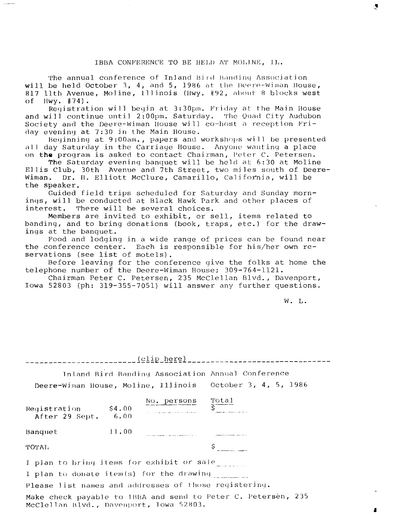#### IBBA CONFERENCE TO BE HELD AT MOLINE, II.

The annual conference of Inland Bird Banding Association will be held October 3, 4, and 5, 1986 at the Deere-Wiman House, 817 11th Avenue, Moline, Illinois (Hwy. #92, about 8 blocks west of Hwy. #74).  $Hwy.$   $#74$ ).

Reqistration will begin at 3:30pm. Friday at the Main House **and will continue until 2:00pm. Saturday. The Quad City Audubon**  Society and the Deere-Wiman House will co-host a reception Friday evening at 7:30 in the Main House.

Beginning at 9:00am., papers and workshops will be presented all day Saturday in the Carriage House. Anyone wanting a place **on the program is asked to contact Chairman, Peter C. Petersen.** 

**The Saturday evening banquet will be held at 6:30 at Moline Ellis Club, 30th Avenue and 7th Street, two miles south of Deere-Wiman. Dr. 1t. Elliott McClure, Camarillo, California, will be the speaker.** 

**Guided field trips scheduled for Saturday and Sunday mornings, will be conducted at Black Hawk Park and other places of**  There will be several choices.

**Members are invited to exhibit, or sell, items related to banding, and to bring donations (book, traps, etc.) for the drawings at the banquet.** 

**Food and lodging in a wide range of prices can be found near the conference center. Each is responsible for his/her own reservations (see list of motels).** 

**Before leaving for the conference give the folks at home the telephone number of the Deere-Wiman House; 309-764-1121.** 

**Chairman Peter C. Petersen, 235 McClellan Blvd., Davenport, Iowa 52803 (ph: 319-355-7051) will answer any further questions.** 

**W. L.** 

| Inland Bird Banding Association Annual Conference<br>Deere-Wiman House, Moline, Illinois October 3, 4, 5, 1986 |                                       |  |  |  |  |
|----------------------------------------------------------------------------------------------------------------|---------------------------------------|--|--|--|--|
| Registration \$4.00<br>After 29 Sept. 6.00                                                                     | No. persons $\frac{\text{Total}}{\$}$ |  |  |  |  |
| 11.00<br>Banquet                                                                                               |                                       |  |  |  |  |
| ТОТАЬ.                                                                                                         |                                       |  |  |  |  |
| I plan to bring items for exhibit or sale when<br>I plan to donate item(s) for the drawing                     |                                       |  |  |  |  |
| Please list names and addresses of those registering.                                                          |                                       |  |  |  |  |
| Make check payable to IBBA and send to Peter C. Petersen, 235                                                  |                                       |  |  |  |  |

**McCle]]an I•].vd. , l)aVOnl•ort, Iowa 52•03.**